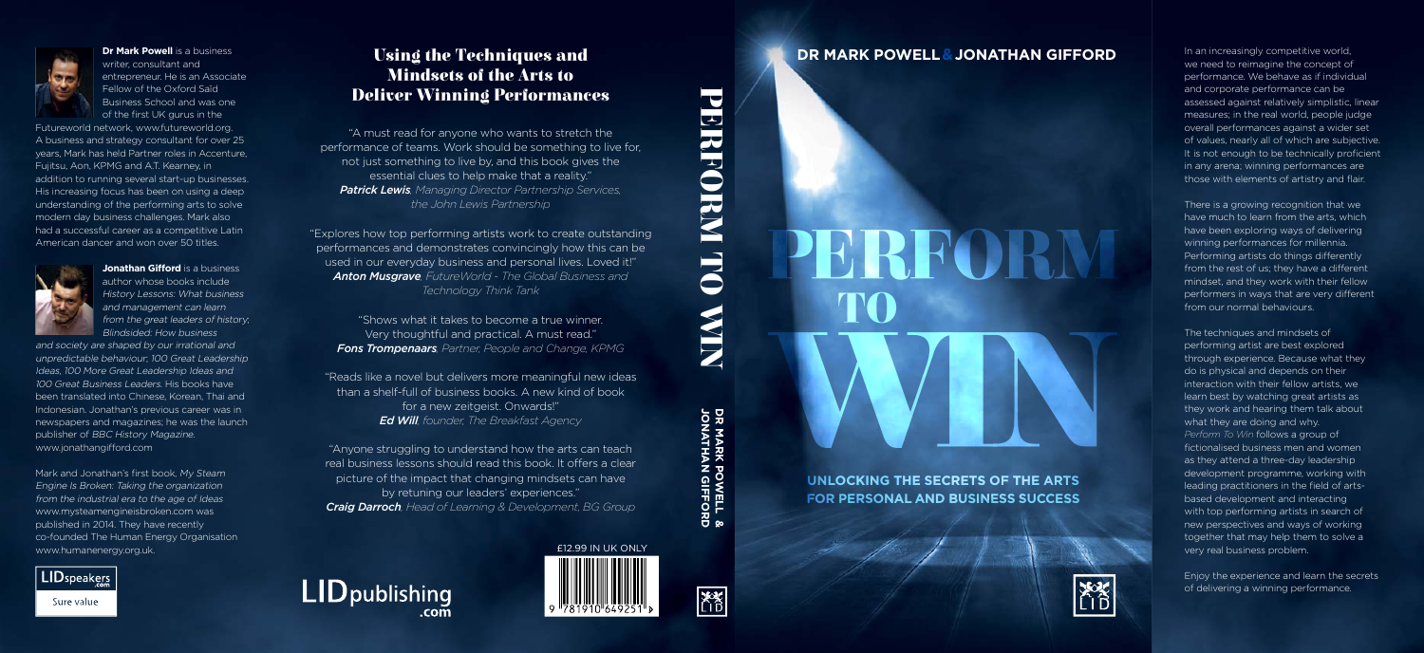

**Dr Mark Powell** is a business writer consultant and entrepreneur. He is an Associate Fellow of the Oxford Saïd Business School and was one of the first UK gurus in the

Futureworld network, www.futureworld.org. A business and strategy consultant for over 25 vears. Mark has held Partner roles in Accenture. Fuijtsu, Aon. KPMG and A.T. Kearney, in addition to running several start-up businesses. His increasing focus has been on using a deep understanding of the performing arts to solve modern day business challenges. Mark also had a successful career as a competitive Latin American dancer and won over 50 titles



**Jonathan Gifford** is a business author whose books include History Lessons: What business and management can learn from the great leaders of history; **Blindsided: How business** 

and society are shaped by our irrational and unpredictable behaviour. 100 Great Leadership Ideas, 100 More Great Leadership Ideas and 100 Great Business Leaders. His books have been translated into Chinese. Korean. Thai and Indonesian. Jonathan's previous career was in newspapers and magazines; he was the launch publisher of BBC History Magazine. www.jonathangifford.com

Mark and Jonathan's first book. My Steam Engine Is Broken: Taking the organization from the industrial era to the age of Ideas www.mysteamengineisbroken.com was published in 2014. They have recently co-founded The Human Energy Organisation www.humanenergy.org.uk.



Using the Techniques and **Mindsets of the Arts to Deliver Winning Performances** 

"A must read for anyone who wants to stretch the performance of teams. Work should be something to live for. not just something to live by, and this book gives the essential clues to help make that a reality." **Patrick Lewis**, Managing Director Partnership Services, the John Lewis Partnership

"Explores how top performing artists work to create outstanding performances and demonstrates convincingly how this can be used in our everyday business and personal lives. Loved it!" **Anton Musgrave**, FutureWorld - The Global Business and Technology Think Tank

"Shows what it takes to become a true winner. Very thoughtful and practical. A must read." Fons Trompenaars, Partner, People and Change, KPMG

"Reads like a novel but delivers more meaningful new ideas than a shelf-full of business books. A new kind of book for a new zeitgeist. Onwards!" **Ed Will**, founder, The Breakfast Agency

"Anyone struggling to understand how the arts can teach real business lessons should read this book. It offers a clear picture of the impact that changing mindsets can have by retuning our leaders' experiences." **Craig Darroch**, Head of Learning & Development, BG Group





PERFORM



DR MARK POWELL &<br>JONATHAN GIFFORD



#### **DR MARK POWELL & JONATHAN GIFFORD**

In an increasingly competitive world. we need to reimagine the concept of performance. We behave as if individual and corporate performance can be assessed against relatively simplistic. linear measures: in the real world, people judge overall performances against a wider set of values, nearly all of which are subjective. It is not enough to be technically proficient in any arena: winning performances are those with elements of artistry and flair.

There is a growing recognition that we have much to learn from the arts, which have been exploring ways of delivering winning performances for millennia. Performing artists do things differently from the rest of us: they have a different mindset, and they work with their fellow performers in ways that are very different from our normal behaviours.

The techniques and mindsets of performing artist are best explored through experience. Because what they do is physical and depends on their interaction with their fellow artists, we learn best by watching great artists as they work and hearing them talk about what they are doing and why. Perform To Win follows a group of fictionalised business men and women as they attend a three-day leadership development programme, working with leading practitioners in the field of artsbased development and interacting with top performing artists in search of new perspectives and ways of working together that may help them to solve a very real business problem.

Enjoy the experience and learn the secrets of delivering a winning performance.

UNLOCKING THE SECRETS OF THE ARTS **FOR PERSONAL AND BUSINESS SUCCESS** 

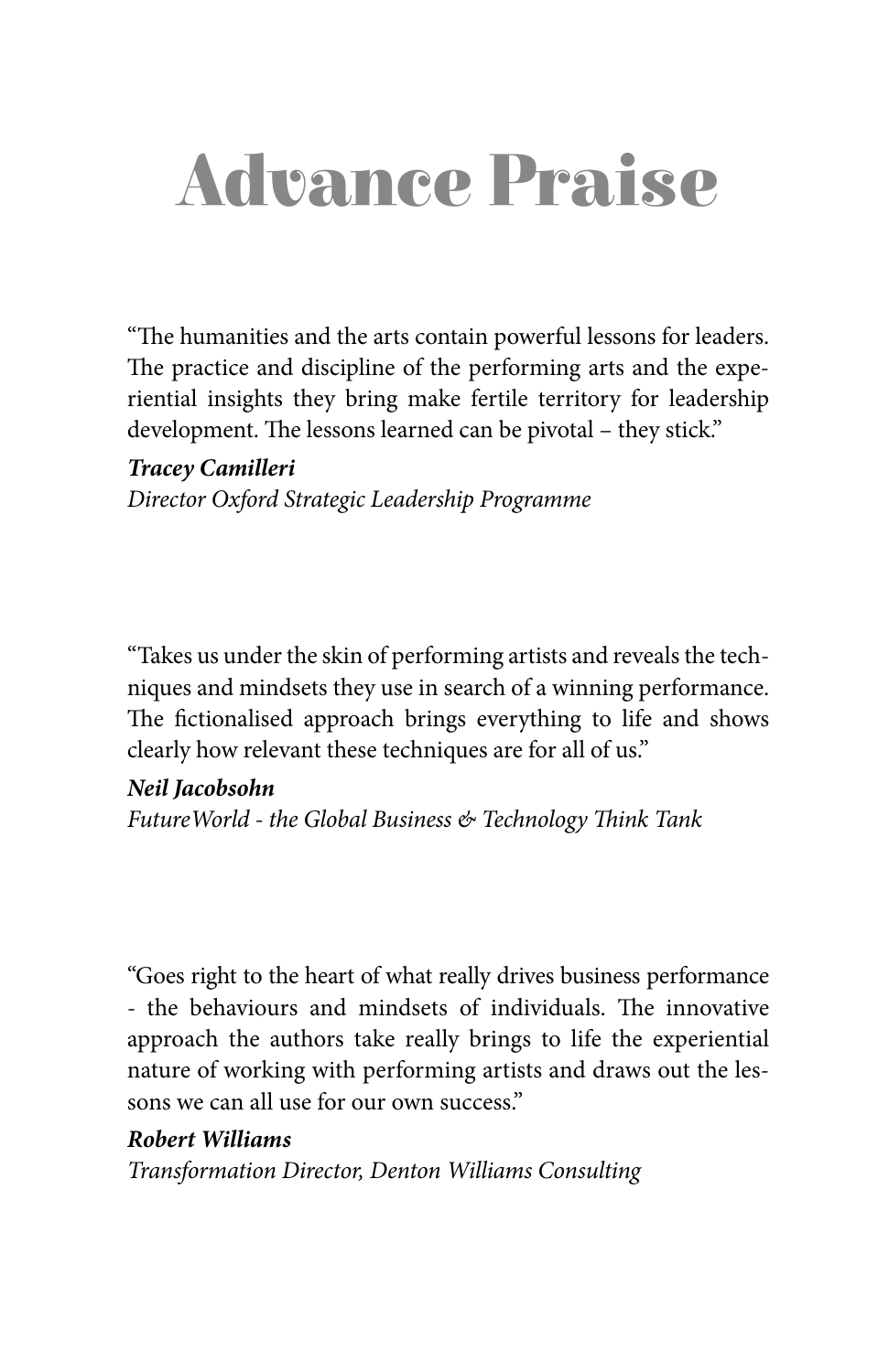# Advance Praise

"The humanities and the arts contain powerful lessons for leaders. The practice and discipline of the performing arts and the experiential insights they bring make fertile territory for leadership development. The lessons learned can be pivotal - they stick."

#### **Tracey Camilleri**

Director Oxford Strategic Leadership Programme

"Takes us under the skin of performing artists and reveals the techniques and mindsets they use in search of a winning performance. The fictionalised approach brings everything to life and shows clearly how relevant these techniques are for all of us."

#### **Neil Jacobsohn**

Future World - the Global Business & Technology Think Tank

"Goes right to the heart of what really drives business performance - the behaviours and mindsets of individuals. The innovative approach the authors take really brings to life the experiential nature of working with performing artists and draws out the lessons we can all use for our own success."

#### **Robert Williams**

Transformation Director, Denton Williams Consulting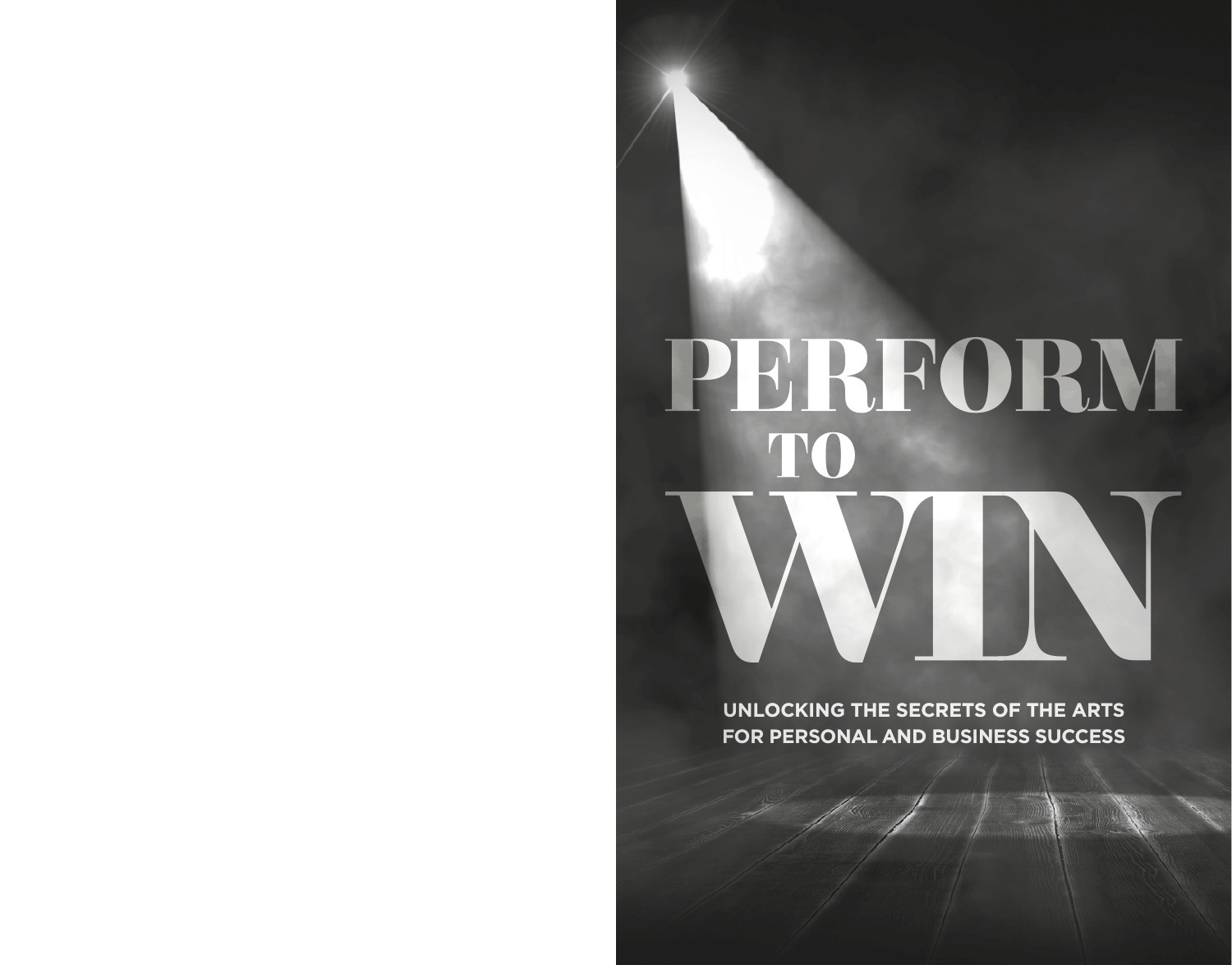# PERFORM TO

UNLOCKING THE SECRETS OF THE ARTS FOR PERSONAL AND BUSINESS SUCCESS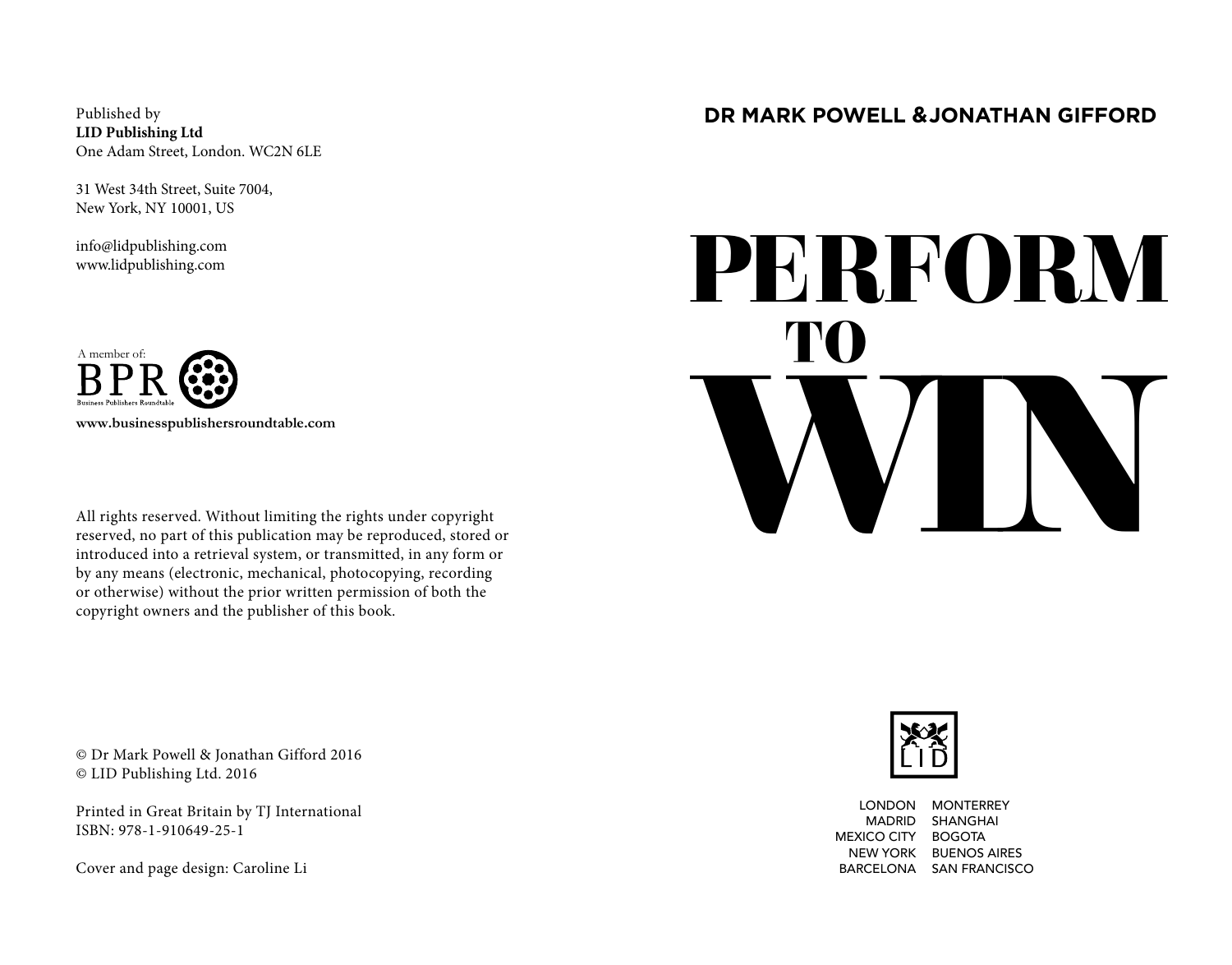Published by **LID Publishing Ltd** One Adam Street, London. WC2N 6LE

31 West 34th Street, Suite 7004, New York, NY 10001, US

info@lidpublishing.com www.lidpublishing.com



All rights reserved. Without limiting the rights under copyright reserved, no part of this publication may be reproduced, stored or introduced into a retrieval system, or transmitted, in any form or by any means (electronic, mechanical, photocopying, recording or otherwise) without the prior written permission of both the copyright owners and the publisher of this book.

© Dr Mark Powell & Jonathan Gifford 2016 © LID Publishing Ltd. 2016

Printed in Great Britain by TJ International ISBN: 978-1-910649-25-1

Cover and page design: Caroline Li

#### **DR MARK POWELL & JONATHAN GIFFORD**

# PERFORM WIN **TO**



LONDON MONTERREY MADRID SHANGHAI MEXICO CITY BOGOTA NEW YORK BUENOS AIRES BARCELONA SAN FRANCISCO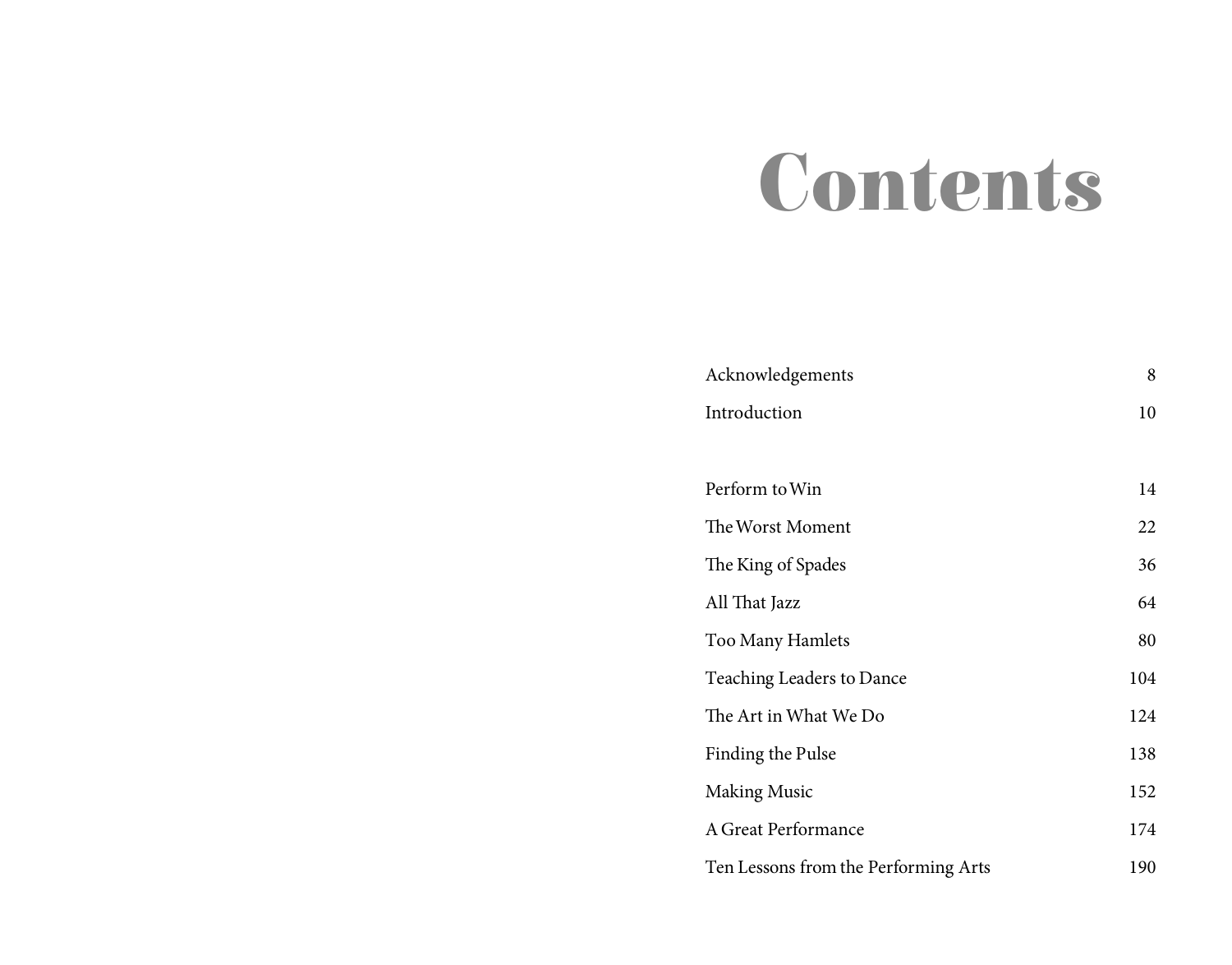# Contents

| Acknowledgements                     | 8   |
|--------------------------------------|-----|
| Introduction                         | 10  |
|                                      |     |
| Perform to Win                       | 14  |
| The Worst Moment                     | 22  |
| The King of Spades                   | 36  |
| All That Jazz                        | 64  |
| Too Many Hamlets                     | 80  |
| Teaching Leaders to Dance            | 104 |
| The Art in What We Do                | 124 |
| Finding the Pulse                    | 138 |
| <b>Making Music</b>                  | 152 |
| A Great Performance                  | 174 |
| Ten Lessons from the Performing Arts | 190 |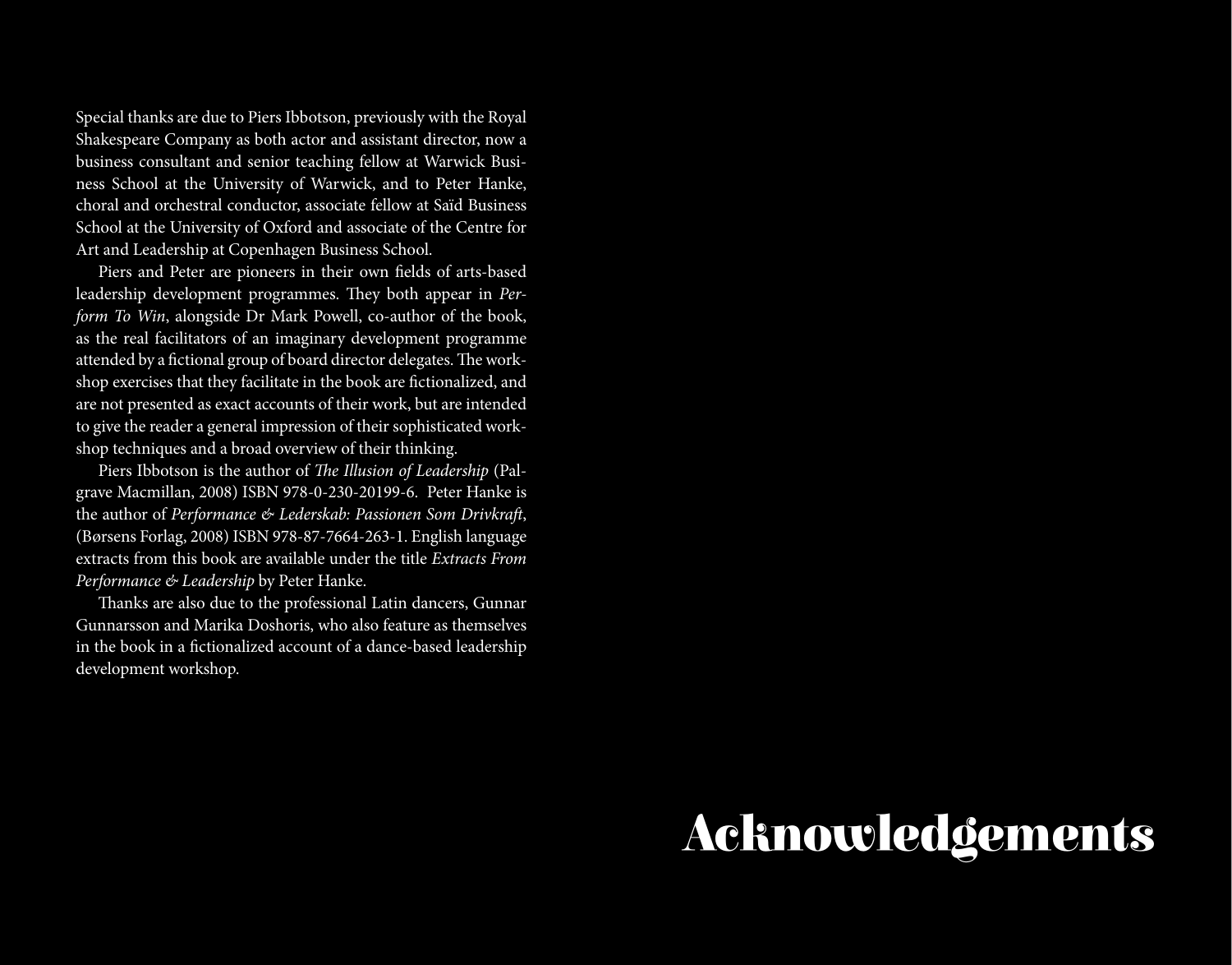Special thanks are due to Piers Ibbotson, previously with the Royal Shakespeare Company as both actor and assistant director, now a business consultant and senior teaching fellow at Warwick Business School at the University of Warwick, and to Peter Hanke, choral and orchestral conductor, associate fellow at Saïd Business School at the University of Oxford and associate of the Centre for Art and Leadership at Copenhagen Business School.

Piers and Peter are pioneers in their own felds of arts-based leadership development programmes. They both appear in Perform To Win, alongside Dr Mark Powell, co-author of the book, as the real facilitators of an imaginary development programme attended by a fictional group of board director delegates. The workshop exercises that they facilitate in the book are fctionalized, and are not presented as exact accounts of their work, but are intended to give the reader a general impression of their sophisticated workshop techniques and a broad overview of their thinking.

Piers Ibbotson is the author of The Illusion of Leadership (Palgrave Macmillan, 2008) ISBN 978-0-230-20199-6. Peter Hanke is the author of Performance & Lederskab: Passionen Som Drivkraft, (Børsens Forlag, 2008) ISBN 978-87-7664-263-1. English language extracts from this book are available under the title Extracts From Performance & Leadership by Peter Hanke.

Thanks are also due to the professional Latin dancers, Gunnar Gunnarsson and Marika Doshoris, who also feature as themselves in the book in a fictionalized account of a dance-based leadership development workshop.

## Acknowledgements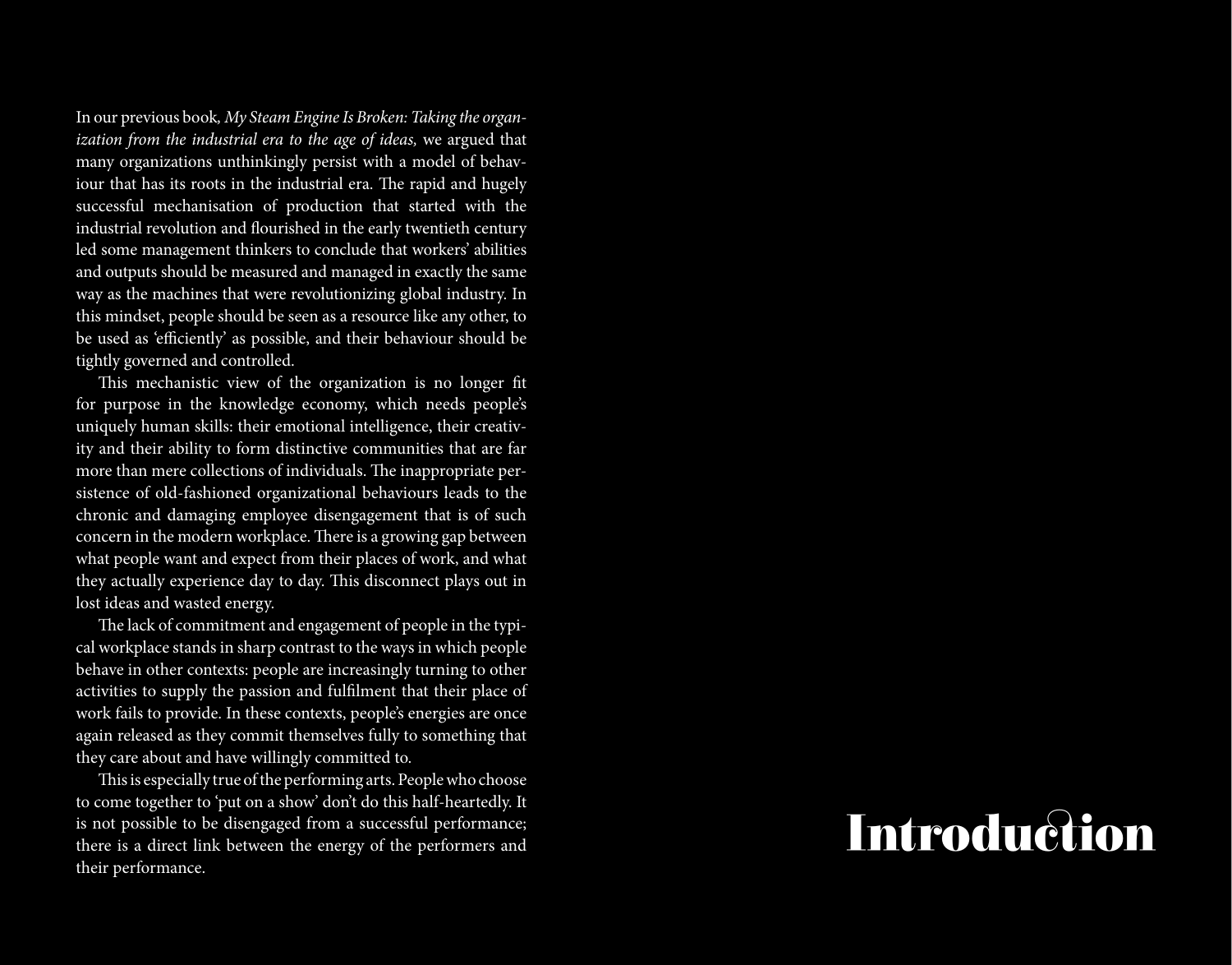In our previous book, My Steam Engine Is Broken: Taking the organ ization from the industrial era to the age of ideas, we argued that many organizations unthinkingly persist with a model of behav iour that has its roots in the industrial era. The rapid and hugely successful mechanisation of production that started with the industrial revolution and fourished in the early twentieth century led some management thinkers to conclude that workers' abilities and outputs should be measured and managed in exactly the same way as the machines that were revolutionizing global industry. In this mindset, people should be seen as a resource like any other, to be used as 'e fciently' as possible, and their behaviour should be tightly governed and controlled.

This mechanistic view of the organization is no longer fit for purpose in the knowledge economy, which needs people's uniquely human skills: their emotional intelligence, their creativ ity and their ability to form distinctive communities that are far more than mere collections of individuals. The inappropriate persistence of old-fashioned organizational behaviours leads to the chronic and damaging employee disengagement that is of such concern in the modern workplace. There is a growing gap between what people want and expect from their places of work, and what they actually experience day to day. This disconnect plays out in lost ideas and wasted energy.

The lack of commitment and engagement of people in the typical workplace stands in sharp contrast to the ways in which people behave in other contexts: people are increasingly turning to other activities to supply the passion and ful flment that their place of work fails to provide. In these contexts, people's energies are once again released as they commit themselves fully to something that they care about and have willingly committed to.

This is especially true of the performing arts. People who choose to come together to 'put on a show' don't do this half-heartedly. It is not possible to be disengaged from a successful performance; there is a direct link between the energy of the performers and their performance.

### Introduction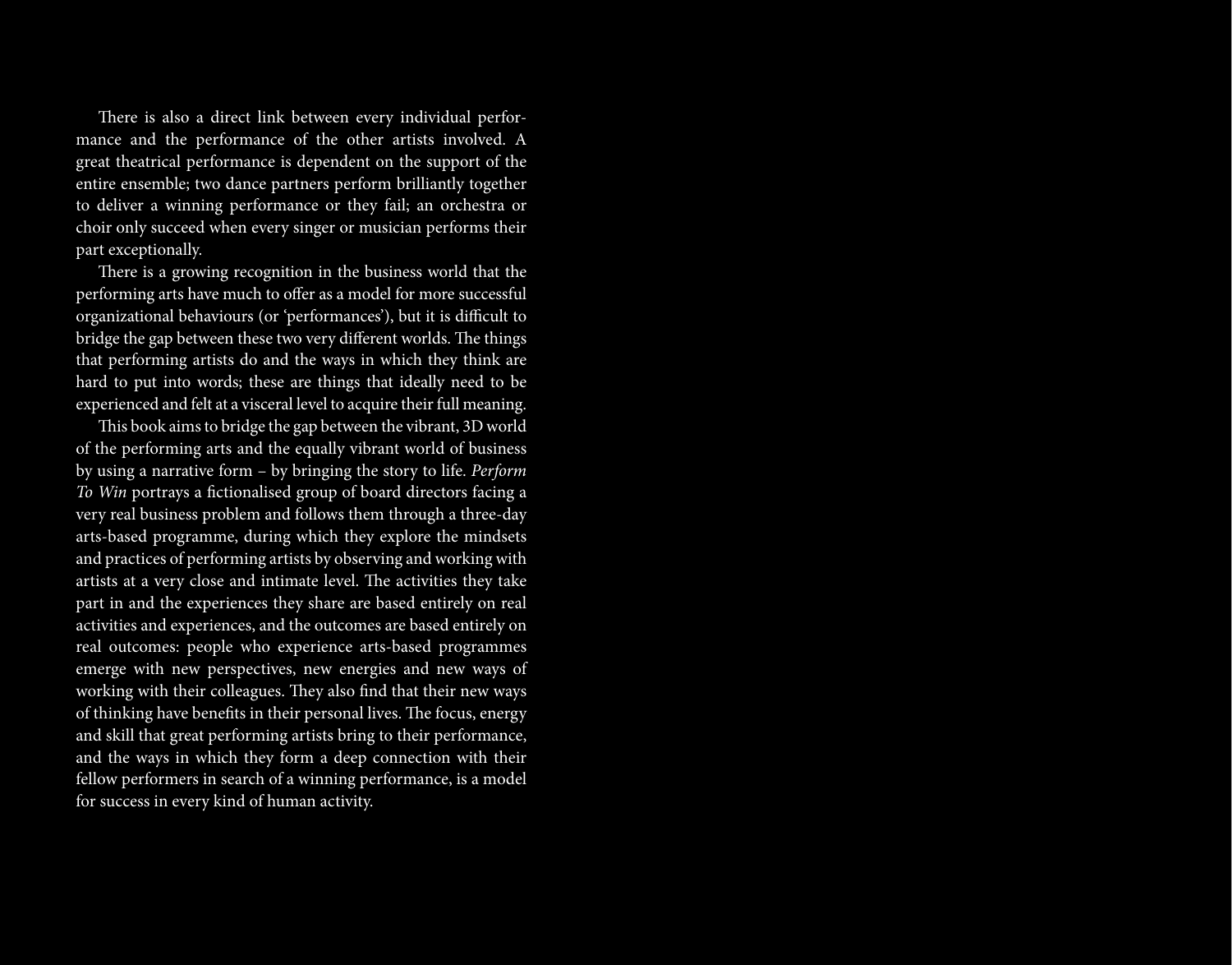There is also a direct link between every individual performance and the performance of the other artists involved. A great theatrical performance is dependent on the support of the entire ensemble; two dance partners perform brilliantly together to deliver a winning performance or they fail; an orchestra or choir only succeed when every singer or musician performs their part exceptionally.

There is a growing recognition in the business world that the performing arts have much to offer as a model for more successful organizational behaviours (or 'performances'), but it is difficult to bridge the gap between these two very different worlds. The things that performing artists do and the ways in which they think are hard to put into words; these are things that ideally need to be experienced and felt at a visceral level to acquire their full meaning.

This book aims to bridge the gap between the vibrant, 3D world of the performing arts and the equally vibrant world of business by using a narrative form – by bringing the story to life. Perform To Win portrays a fctionalised group of board directors facing a very real business problem and follows them through a three-day arts-based programme, during which they explore the mindsets and practices of performing artists by observing and working with artists at a very close and intimate level. The activities they take part in and the experiences they share are based entirely on real activities and experiences, and the outcomes are based entirely on real outcomes: people who experience arts-based programmes emerge with new perspectives, new energies and new ways of working with their colleagues. They also find that their new ways of thinking have benefits in their personal lives. The focus, energy and skill that great performing artists bring to their performance, and the ways in which they form a deep connection with their fellow performers in search of a winning performance, is a model for success in every kind of human activity.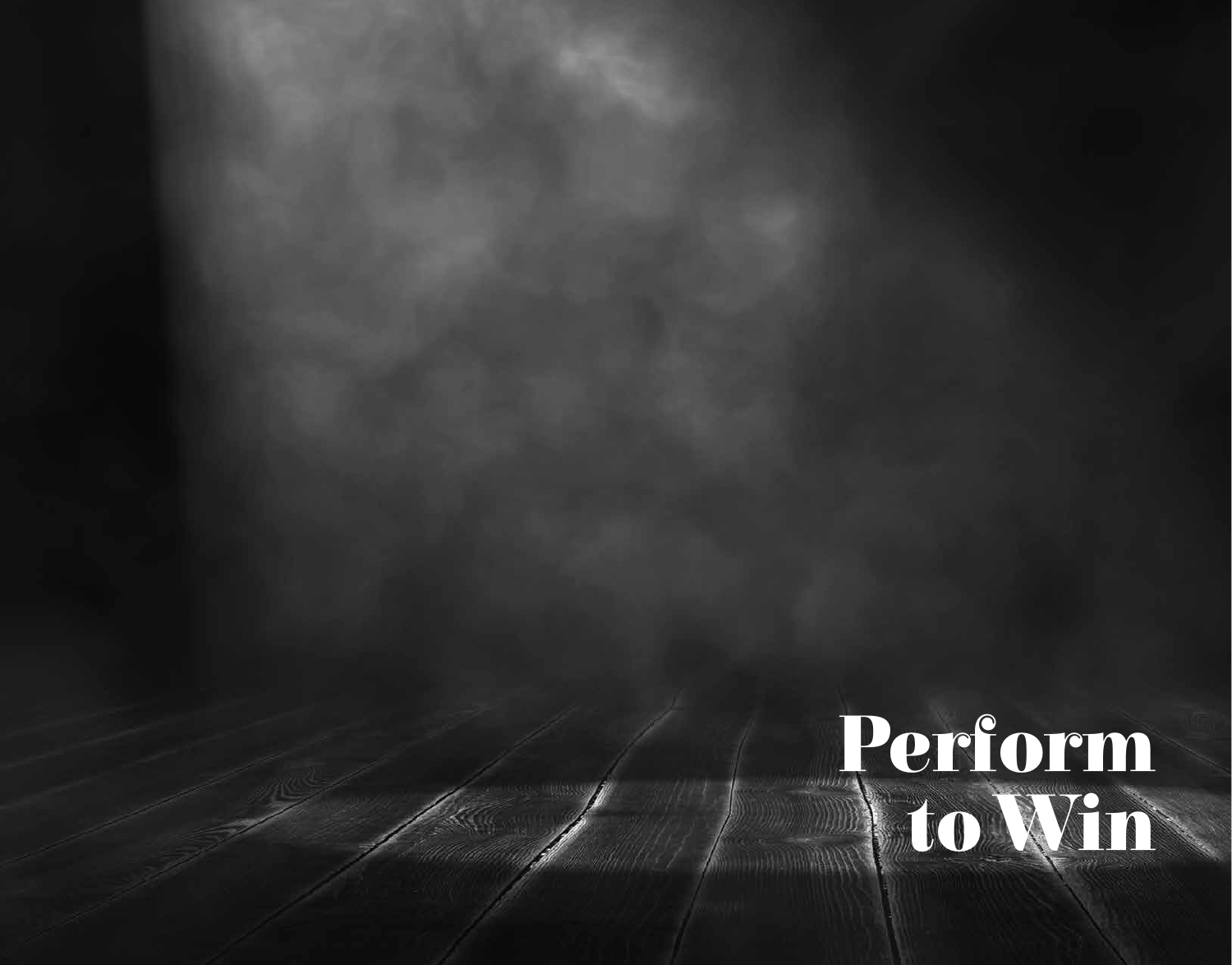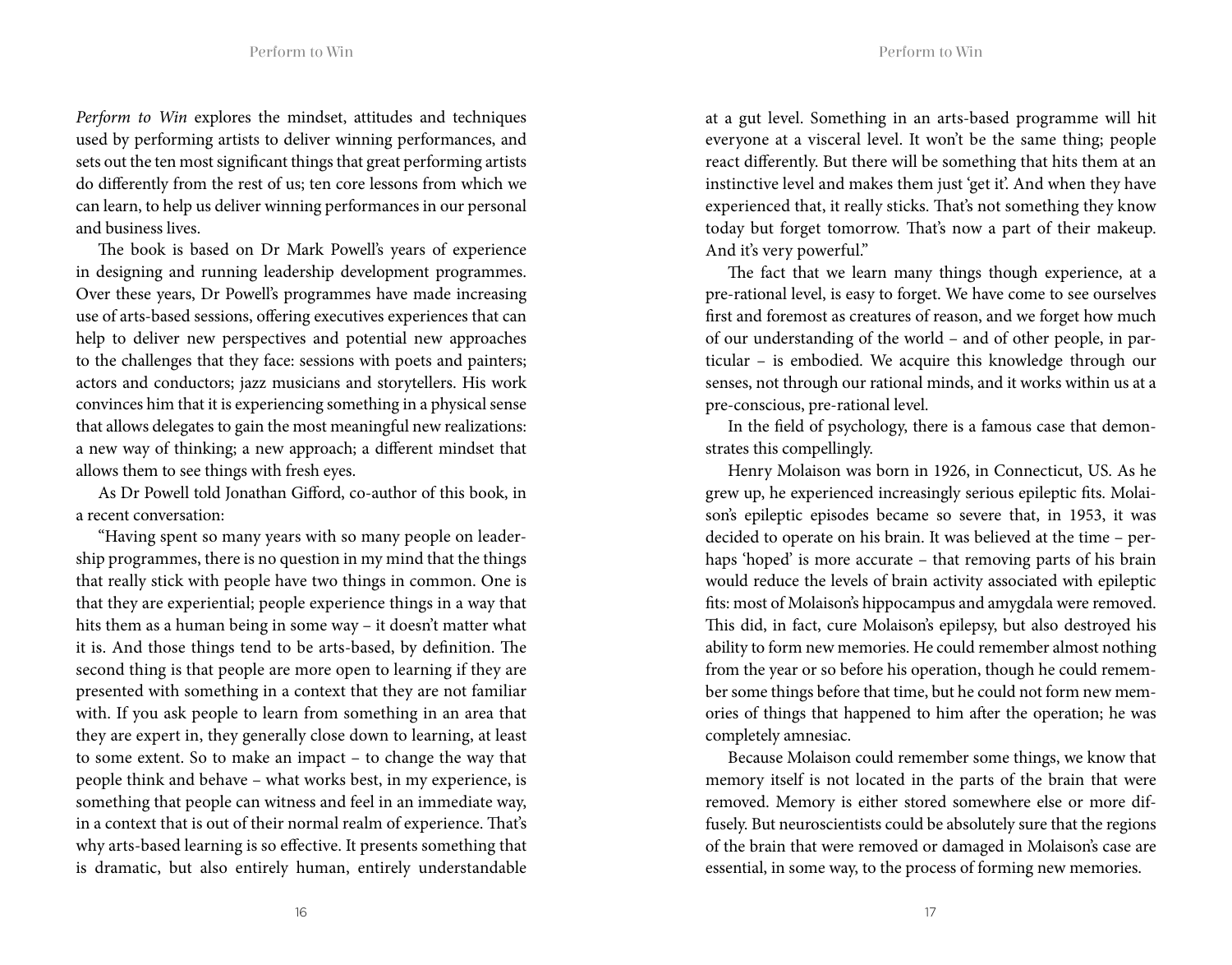Perform to Win explores the mindset, attitudes and techniques used by performing artists to deliver winning performances, and sets out the ten most signifcant things that great performing artists do diferently from the rest of us; ten core lessons from which we can learn, to help us deliver winning performances in our personal and business lives.

The book is based on Dr Mark Powell's years of experience in designing and running leadership development programmes. Over these years, Dr Powell's programmes have made increasing use of arts-based sessions, offering executives experiences that can help to deliver new perspectives and potential new approaches to the challenges that they face: sessions with poets and painters; actors and conductors; jazz musicians and storytellers. His work convinces him that it is experiencing something in a physical sense that allows delegates to gain the most meaningful new realizations: a new way of thinking; a new approach; a diferent mindset that allows them to see things with fresh eyes.

As Dr Powell told Jonathan Giford, co-author of this book, in a recent conversation:

"Having spent so many years with so many people on leadership programmes, there is no question in my mind that the things that really stick with people have two things in common. One is that they are experiential; people experience things in a way that hits them as a human being in some way – it doesn't matter what it is. And those things tend to be arts-based, by definition. The second thing is that people are more open to learning if they are presented with something in a context that they are not familiar with. If you ask people to learn from something in an area that they are expert in, they generally close down to learning, at least to some extent. So to make an impact – to change the way that people think and behave – what works best, in my experience, is something that people can witness and feel in an immediate way, in a context that is out of their normal realm of experience. That's why arts-based learning is so efective. It presents something that is dramatic, but also entirely human, entirely understandable at a gut level. Something in an arts-based programme will hit everyone at a visceral level. It won't be the same thing; people react diferently. But there will be something that hits them at an instinctive level and makes them just 'get it'. And when they have experienced that, it really sticks. That's not something they know today but forget tomorrow. That's now a part of their makeup. And it's very powerful."

The fact that we learn many things though experience, at a pre-rational level, is easy to forget. We have come to see ourselves frst and foremost as creatures of reason, and we forget how much of our understanding of the world – and of other people, in particular – is embodied. We acquire this knowledge through our senses, not through our rational minds, and it works within us at a pre-conscious, pre-rational level.

In the feld of psychology, there is a famous case that demonstrates this compellingly.

Henry Molaison was born in 1926, in Connecticut, US. As he grew up, he experienced increasingly serious epileptic fts. Molaison's epileptic episodes became so severe that, in 1953, it was decided to operate on his brain. It was believed at the time – perhaps 'hoped' is more accurate – that removing parts of his brain would reduce the levels of brain activity associated with epileptic fts: most of Molaison's hippocampus and amygdala were removed. This did, in fact, cure Molaison's epilepsy, but also destroyed his ability to form new memories. He could remember almost nothing from the year or so before his operation, though he could remember some things before that time, but he could not form new memories of things that happened to him afer the operation; he was completely amnesiac.

Because Molaison could remember some things, we know that memory itself is not located in the parts of the brain that were removed. Memory is either stored somewhere else or more diffusely. But neuroscientists could be absolutely sure that the regions of the brain that were removed or damaged in Molaison's case are essential, in some way, to the process of forming new memories.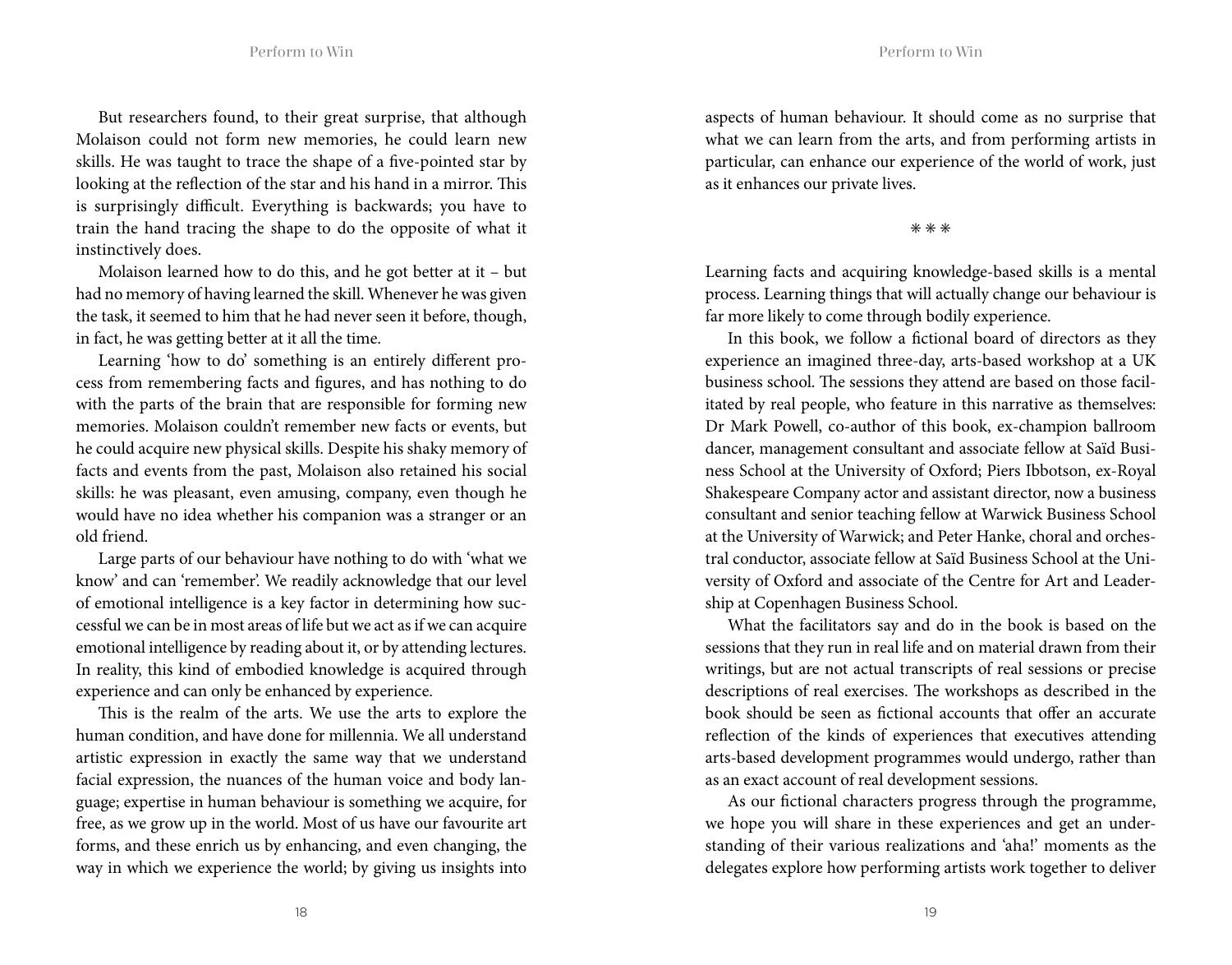But researchers found, to their great surprise, that although Molaison could not form new memories, he could learn new skills. He was taught to trace the shape of a five-pointed star by looking at the reflection of the star and his hand in a mirror. This is surprisingly difficult. Everything is backwards; you have to train the hand tracing the shape to do the opposite of what it instinctively does.

Molaison learned how to do this, and he got better at it – but had no memory of having learned the skill. Whenever he was given the task, it seemed to him that he had never seen it before, though, in fact, he was getting better at it all the time.

Learning 'how to do' something is an entirely diferent process from remembering facts and fgures, and has nothing to do with the parts of the brain that are responsible for forming new memories. Molaison couldn't remember new facts or events, but he could acquire new physical skills. Despite his shaky memory of facts and events from the past, Molaison also retained his social skills: he was pleasant, even amusing, company, even though he would have no idea whether his companion was a stranger or an old friend.

Large parts of our behaviour have nothing to do with 'what we know' and can 'remember'. We readily acknowledge that our level of emotional intelligence is a key factor in determining how successful we can be in most areas of life but we act as if we can acquire emotional intelligence by reading about it, or by attending lectures. In reality, this kind of embodied knowledge is acquired through experience and can only be enhanced by experience.

This is the realm of the arts. We use the arts to explore the human condition, and have done for millennia. We all understand artistic expression in exactly the same way that we understand facial expression, the nuances of the human voice and body language; expertise in human behaviour is something we acquire, for free, as we grow up in the world. Most of us have our favourite art forms, and these enrich us by enhancing, and even changing, the way in which we experience the world; by giving us insights into aspects of human behaviour. It should come as no surprise that what we can learn from the arts, and from performing artists in particular, can enhance our experience of the world of work, just as it enhances our private lives.

✳ ✳ ✳

Learning facts and acquiring knowledge-based skills is a mental process. Learning things that will actually change our behaviour is far more likely to come through bodily experience.

In this book, we follow a fictional board of directors as they experience an imagined three-day, arts-based workshop at a UK business school. The sessions they attend are based on those facilitated by real people, who feature in this narrative as themselves: Dr Mark Powell, co-author of this book, ex-champion ballroom dancer, management consultant and associate fellow at Saïd Business School at the University of Oxford; Piers Ibbotson, ex-Royal Shakespeare Company actor and assistant director, now a business consultant and senior teaching fellow at Warwick Business School at the University of Warwick; and Peter Hanke, choral and orchestral conductor, associate fellow at Saïd Business School at the University of Oxford and associate of the Centre for Art and Leadership at Copenhagen Business School.

What the facilitators say and do in the book is based on the sessions that they run in real life and on material drawn from their writings, but are not actual transcripts of real sessions or precise descriptions of real exercises. The workshops as described in the book should be seen as fictional accounts that offer an accurate refection of the kinds of experiences that executives attending arts-based development programmes would undergo, rather than as an exact account of real development sessions.

As our fictional characters progress through the programme, we hope you will share in these experiences and get an understanding of their various realizations and 'aha!' moments as the delegates explore how performing artists work together to deliver